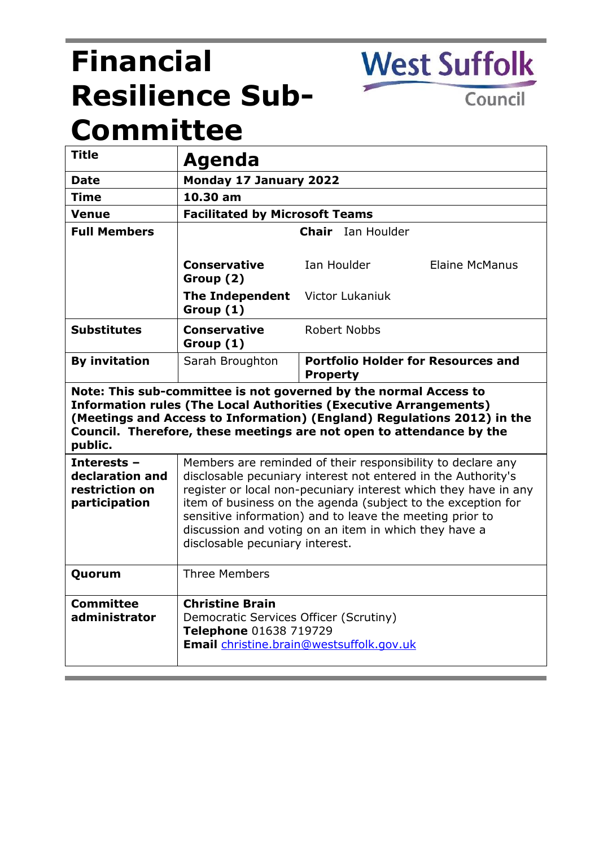# **Financial Resilience Sub-Committee**

Council

**West Suffolk** 

| <b>Title</b>                                                                                                                                                                                                                                                                                               | Agenda                                                                                                                                                                                                                                                                                                                                                                                                                  |                                                              |
|------------------------------------------------------------------------------------------------------------------------------------------------------------------------------------------------------------------------------------------------------------------------------------------------------------|-------------------------------------------------------------------------------------------------------------------------------------------------------------------------------------------------------------------------------------------------------------------------------------------------------------------------------------------------------------------------------------------------------------------------|--------------------------------------------------------------|
| <b>Date</b>                                                                                                                                                                                                                                                                                                | <b>Monday 17 January 2022</b>                                                                                                                                                                                                                                                                                                                                                                                           |                                                              |
| <b>Time</b>                                                                                                                                                                                                                                                                                                | 10.30 am                                                                                                                                                                                                                                                                                                                                                                                                                |                                                              |
| <b>Venue</b>                                                                                                                                                                                                                                                                                               | <b>Facilitated by Microsoft Teams</b>                                                                                                                                                                                                                                                                                                                                                                                   |                                                              |
| <b>Full Members</b>                                                                                                                                                                                                                                                                                        |                                                                                                                                                                                                                                                                                                                                                                                                                         | <b>Chair</b> Ian Houlder                                     |
|                                                                                                                                                                                                                                                                                                            | <b>Conservative</b><br>Group (2)                                                                                                                                                                                                                                                                                                                                                                                        | Ian Houlder<br><b>Elaine McManus</b>                         |
|                                                                                                                                                                                                                                                                                                            | The Independent Victor Lukaniuk<br>Group (1)                                                                                                                                                                                                                                                                                                                                                                            |                                                              |
| <b>Substitutes</b>                                                                                                                                                                                                                                                                                         | <b>Conservative</b><br>Group (1)                                                                                                                                                                                                                                                                                                                                                                                        | <b>Robert Nobbs</b>                                          |
| <b>By invitation</b>                                                                                                                                                                                                                                                                                       | Sarah Broughton                                                                                                                                                                                                                                                                                                                                                                                                         | <b>Portfolio Holder for Resources and</b><br><b>Property</b> |
| Note: This sub-committee is not governed by the normal Access to<br><b>Information rules (The Local Authorities (Executive Arrangements)</b><br>(Meetings and Access to Information) (England) Regulations 2012) in the<br>Council. Therefore, these meetings are not open to attendance by the<br>public. |                                                                                                                                                                                                                                                                                                                                                                                                                         |                                                              |
| Interests -<br>declaration and<br>restriction on<br>participation                                                                                                                                                                                                                                          | Members are reminded of their responsibility to declare any<br>disclosable pecuniary interest not entered in the Authority's<br>register or local non-pecuniary interest which they have in any<br>item of business on the agenda (subject to the exception for<br>sensitive information) and to leave the meeting prior to<br>discussion and voting on an item in which they have a<br>disclosable pecuniary interest. |                                                              |
| Quorum                                                                                                                                                                                                                                                                                                     | <b>Three Members</b>                                                                                                                                                                                                                                                                                                                                                                                                    |                                                              |
| <b>Committee</b><br>administrator                                                                                                                                                                                                                                                                          | <b>Christine Brain</b><br>Democratic Services Officer (Scrutiny)<br>Telephone 01638 719729<br><b>Email</b> christine.brain@westsuffolk.gov.uk                                                                                                                                                                                                                                                                           |                                                              |